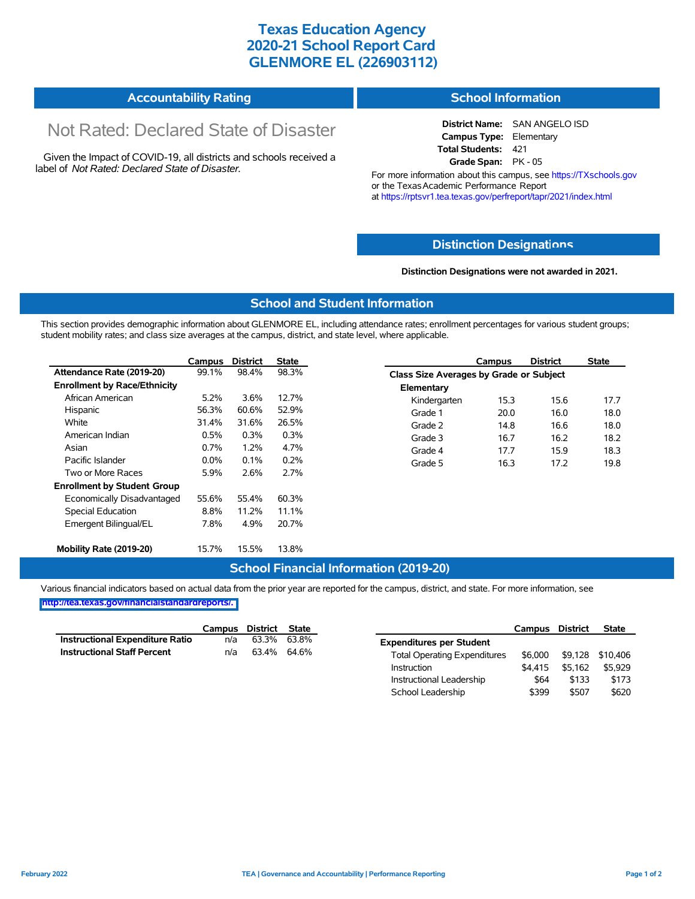# **Texas Education Agency 2020-21 School Report Card GLENMORE EL (226903112)**

#### **Accountability Rating School Information**

# Not Rated: Declared State of Disaster

Given the Impact of COVID-19, all districts and schools received a label of *Not Rated: Declared State of Disaster.*

**District Name:** SAN ANGELO ISD **Campus Type:** Elementary **Total Students:** 421 **Grade Span:** PK - 05

For more information about this campus, see https://TXschools.gov or the Texas Academic Performance Report at https://rptsvr1.tea.texas.gov/perfreport/tapr/2021/index.html

## **Distinction Designat[ions](https://TXschools.gov)**

### **Distinction Designations were not awarded in 2021.**

School Leadership  $$399$  \$507 \$620

## **School and Student Information**

This section provides demographic information about GLENMORE EL, including attendance rates; enrollment percentages for various student groups; student mobility rates; and class size averages at the campus, district, and state level, where applicable.

|                                     | Campus  | <b>District</b> | <b>State</b> |              | Campus                                  | <b>District</b> | <b>State</b> |  |  |
|-------------------------------------|---------|-----------------|--------------|--------------|-----------------------------------------|-----------------|--------------|--|--|
| Attendance Rate (2019-20)           | 99.1%   | 98.4%           | 98.3%        |              | Class Size Averages by Grade or Subject |                 |              |  |  |
| <b>Enrollment by Race/Ethnicity</b> |         |                 |              | Elementary   |                                         |                 |              |  |  |
| African American                    | 5.2%    | 3.6%            | 12.7%        | Kindergarten | 15.3                                    | 15.6            | 17.7         |  |  |
| Hispanic                            | 56.3%   | 60.6%           | 52.9%        | Grade 1      | 20.0                                    | 16.0            | 18.0         |  |  |
| White                               | 31.4%   | 31.6%           | 26.5%        | Grade 2      | 14.8                                    | 16.6            | 18.0         |  |  |
| American Indian                     | 0.5%    | 0.3%            | 0.3%         | Grade 3      | 16.7                                    | 16.2            | 18.2         |  |  |
| Asian                               | 0.7%    | 1.2%            | 4.7%         | Grade 4      | 17.7                                    | 15.9            | 18.3         |  |  |
| Pacific Islander                    | $0.0\%$ | 0.1%            | 0.2%         | Grade 5      | 16.3                                    | 17.2            | 19.8         |  |  |
| Two or More Races                   | 5.9%    | 2.6%            | 2.7%         |              |                                         |                 |              |  |  |
| <b>Enrollment by Student Group</b>  |         |                 |              |              |                                         |                 |              |  |  |
| Economically Disadvantaged          | 55.6%   | 55.4%           | 60.3%        |              |                                         |                 |              |  |  |
| Special Education                   | 8.8%    | 11.2%           | 11.1%        |              |                                         |                 |              |  |  |
| Emergent Bilingual/EL               | 7.8%    | 4.9%            | 20.7%        |              |                                         |                 |              |  |  |
|                                     |         |                 |              |              |                                         |                 |              |  |  |
| Mobility Rate (2019-20)             | 15.7%   | 15.5%           | 13.8%        |              |                                         |                 |              |  |  |

## **School Financial Information (2019-20)**

Various financial indicators based on actual data from the prior year are reported for the campus, district, and state. For more information, see

**[http://tea.texas.gov/financialstandardreports/.](http://tea.texas.gov/financialstandardreports/)**

|                                        | Campus | District | State |                                     | Campus  | <b>District</b> | <b>State</b>     |
|----------------------------------------|--------|----------|-------|-------------------------------------|---------|-----------------|------------------|
| <b>Instructional Expenditure Ratio</b> | n/a    | 63.3%    | 63.8% | <b>Expenditures per Student</b>     |         |                 |                  |
| <b>Instructional Staff Percent</b>     | n/a    | 63.4%    | 64.6% | <b>Total Operating Expenditures</b> | \$6.000 |                 | \$9,128 \$10,406 |
|                                        |        |          |       | Instruction                         | \$4.415 | \$5.162         | \$5,929          |
|                                        |        |          |       | Instructional Leadership            | \$64    | \$133           | \$173            |